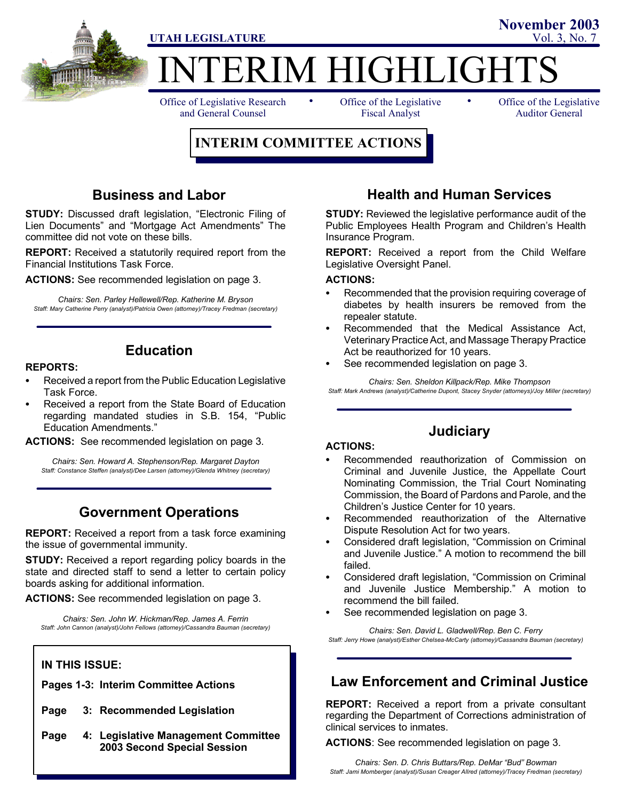

# **TERIM HIGHLIGHT**

Office of Legislative Research and General Counsel

• Office of the Legislative • Fiscal Analyst

Office of the Legislative Auditor General

**November 2003**

# **INTERIM COMMITTEE ACTIONS**

# **Business and Labor**

**STUDY:** Discussed draft legislation, "Electronic Filing of Lien Documents" and "Mortgage Act Amendments" The committee did not vote on these bills.

**REPORT:** Received a statutorily required report from the Financial Institutions Task Force.

**ACTIONS:** See recommended legislation on page 3.

*Chairs: Sen. Parley Hellewell/Rep. Katherine M. Bryson Staff: Mary Catherine Perry (analyst)/Patricia Owen (attorney)/Tracey Fredman (secretary)*

# **Education**

#### **REPORTS:**

- Received a report from the Public Education Legislative Task Force.
- Received a report from the State Board of Education regarding mandated studies in S.B. 154, "Public Education Amendments."

**ACTIONS:** See recommended legislation on page 3.

*Chairs: Sen. Howard A. Stephenson/Rep. Margaret Dayton Staff: Constance Steffen (analyst)/Dee Larsen (attorney)/Glenda Whitney (secretary)*

# **Government Operations**

**REPORT:** Received a report from a task force examining the issue of governmental immunity.

**STUDY:** Received a report regarding policy boards in the state and directed staff to send a letter to certain policy boards asking for additional information.

**ACTIONS:** See recommended legislation on page 3.

*Chairs: Sen. John W. Hickman/Rep. James A. Ferrin Staff: John Cannon (analyst)/John Fellows (attorney)/Cassandra Bauman (secretary)*

### **IN THIS ISSUE:**

**Pages 1-3: Interim Committee Actions**

- **Page 3: Recommended Legislation**
- **Page 4: Legislative Management Committee 2003 Second Special Session**

# **Health and Human Services**

**STUDY:** Reviewed the legislative performance audit of the Public Employees Health Program and Children's Health Insurance Program.

**REPORT:** Received a report from the Child Welfare Legislative Oversight Panel.

#### **ACTIONS:**

- Recommended that the provision requiring coverage of diabetes by health insurers be removed from the repealer statute.
- Recommended that the Medical Assistance Act, Veterinary Practice Act, and Massage Therapy Practice Act be reauthorized for 10 years.
- See recommended legislation on page 3.

*Chairs: Sen. Sheldon Killpack/Rep. Mike Thompson Staff: Mark Andrews (analyst)/Catherine Dupont, Stacey Snyder (attorneys)/Joy Miller (secretary)*

# **Judiciary**

#### **ACTIONS:**

- Recommended reauthorization of Commission on Criminal and Juvenile Justice, the Appellate Court Nominating Commission, the Trial Court Nominating Commission, the Board of Pardons and Parole, and the Children's Justice Center for 10 years.
- Recommended reauthorization of the Alternative Dispute Resolution Act for two years.
- Considered draft legislation, "Commission on Criminal and Juvenile Justice." A motion to recommend the bill failed.
- Considered draft legislation, "Commission on Criminal and Juvenile Justice Membership." A motion to recommend the bill failed.
- See recommended legislation on page 3.

*Chairs: Sen. David L. Gladwell/Rep. Ben C. Ferry Staff: Jerry Howe (analyst)/Esther Chelsea-McCarty (attorney)/Cassandra Bauman (secretary)*

# **Law Enforcement and Criminal Justice**

**REPORT:** Received a report from a private consultant regarding the Department of Corrections administration of clinical services to inmates.

**ACTIONS**: See recommended legislation on page 3.

*Chairs: Sen. D. Chris Buttars/Rep. DeMar "Bud" Bowman Staff: Jami Momberger (analyst)/Susan Creager Allred (attorney)/Tracey Fredman (secretary)*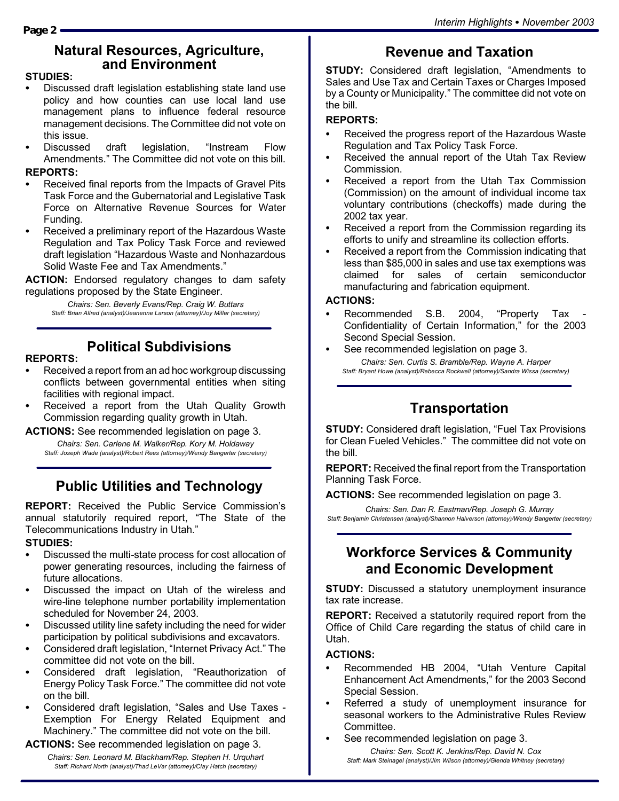# **Natural Resources, Agriculture, and Environment**

#### **STUDIES:**

- Discussed draft legislation establishing state land use policy and how counties can use local land use management plans to influence federal resource management decisions. The Committee did not vote on this issue.
- Discussed draft legislation, "Instream Flow Amendments." The Committee did not vote on this bill. **REPORTS:**

- Received final reports from the Impacts of Gravel Pits Task Force and the Gubernatorial and Legislative Task Force on Alternative Revenue Sources for Water Funding.
- Received a preliminary report of the Hazardous Waste Regulation and Tax Policy Task Force and reviewed draft legislation "Hazardous Waste and Nonhazardous Solid Waste Fee and Tax Amendments."

**ACTION:** Endorsed regulatory changes to dam safety regulations proposed by the State Engineer.

> *Chairs: Sen. Beverly Evans/Rep. Craig W. Buttars Staff: Brian Allred (analyst)/Jeanenne Larson (attorney)/Joy Miller (secretary)*

# **Political Subdivisions**

#### **REPORTS:**

- Received a report from an ad hoc workgroup discussing conflicts between governmental entities when siting facilities with regional impact.
- Received a report from the Utah Quality Growth Commission regarding quality growth in Utah.
- **ACTIONS:** See recommended legislation on page 3. *Chairs: Sen. Carlene M. Walker/Rep. Kory M. Holdaway*

*Staff: Joseph Wade (analyst)/Robert Rees (attorney)/Wendy Bangerter (secretary)*

# **Public Utilities and Technology**

**REPORT:** Received the Public Service Commission's annual statutorily required report, "The State of the Telecommunications Industry in Utah."

#### **STUDIES:**

- Discussed the multi-state process for cost allocation of power generating resources, including the fairness of future allocations.
- Discussed the impact on Utah of the wireless and wire-line telephone number portability implementation scheduled for November 24, 2003.
- Discussed utility line safety including the need for wider participation by political subdivisions and excavators.
- Considered draft legislation, "Internet Privacy Act." The committee did not vote on the bill.
- Considered draft legislation, "Reauthorization of Energy Policy Task Force." The committee did not vote on the bill.
- Considered draft legislation, "Sales and Use Taxes -Exemption For Energy Related Equipment and Machinery." The committee did not vote on the bill.

**ACTIONS:** See recommended legislation on page 3.

*Chairs: Sen. Leonard M. Blackham/Rep. Stephen H. Urquhart Staff: Richard North (analyst)/Thad LeVar (attorney)/Clay Hatch (secretary)*

# **Revenue and Taxation**

**STUDY:** Considered draft legislation, "Amendments to Sales and Use Tax and Certain Taxes or Charges Imposed by a County or Municipality." The committee did not vote on the bill.

#### **REPORTS:**

- Received the progress report of the Hazardous Waste Regulation and Tax Policy Task Force.
- Received the annual report of the Utah Tax Review Commission.
- Received a report from the Utah Tax Commission (Commission) on the amount of individual income tax voluntary contributions (checkoffs) made during the 2002 tax year.
- Received a report from the Commission regarding its efforts to unify and streamline its collection efforts.
- Received a report from the Commission indicating that less than \$85,000 in sales and use tax exemptions was claimed for sales of certain semiconductor manufacturing and fabrication equipment.

#### **ACTIONS:**

- Recommended S.B. 2004, "Property Tax -Confidentiality of Certain Information," for the 2003 Second Special Session.
- See recommended legislation on page 3. *Chairs: Sen. Curtis S. Bramble/Rep. Wayne A. Harper Staff: Bryant Howe (analyst)/Rebecca Rockwell (attorney)/Sandra Wissa (secretary)*

# **Transportation**

**STUDY:** Considered draft legislation, "Fuel Tax Provisions for Clean Fueled Vehicles." The committee did not vote on the bill.

**REPORT:** Received the final report from the Transportation Planning Task Force.

**ACTIONS:** See recommended legislation on page 3.

*Chairs: Sen. Dan R. Eastman/Rep. Joseph G. Murray Staff: Benjamin Christensen (analyst)/Shannon Halverson (attorney)/Wendy Bangerter (secretary)*

# **Workforce Services & Community and Economic Development**

**STUDY:** Discussed a statutory unemployment insurance tax rate increase.

**REPORT:** Received a statutorily required report from the Office of Child Care regarding the status of child care in Utah.

#### **ACTIONS:**

- Recommended HB 2004, "Utah Venture Capital Enhancement Act Amendments," for the 2003 Second Special Session.
- Referred a study of unemployment insurance for seasonal workers to the Administrative Rules Review Committee.
- See recommended legislation on page 3.

*Chairs: Sen. Scott K. Jenkins/Rep. David N. Cox Staff: Mark Steinagel (analyst)/Jim Wilson (attorney)/Glenda Whitney (secretary)*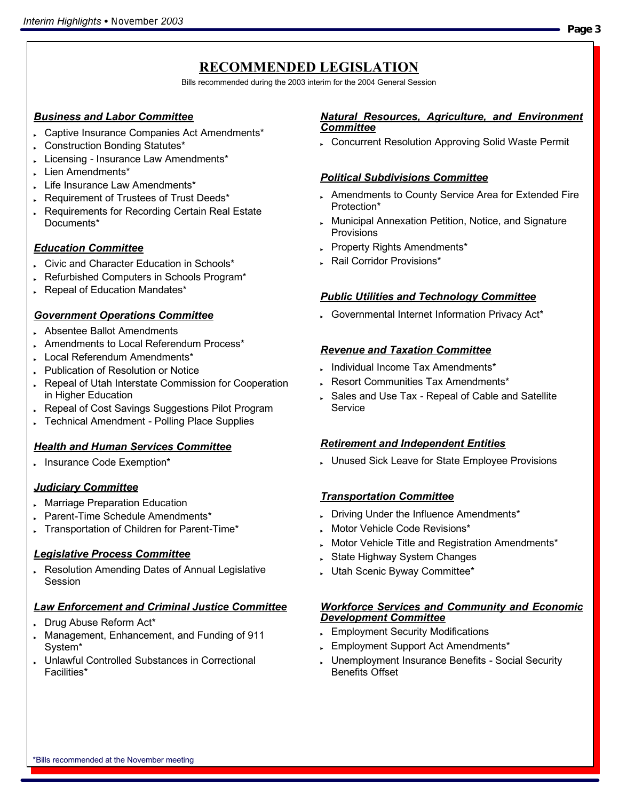# **RECOMMENDED LEGISLATION**

Bills recommended during the 2003 interim for the 2004 General Session

#### *Business and Labor Committee*

- . Captive Insurance Companies Act Amendments\*
- . Construction Bonding Statutes\*
- Licensing Insurance Law Amendments\*
- Lien Amendments\*
- Life Insurance Law Amendments\*
- . Requirement of Trustees of Trust Deeds\*
- Requirements for Recording Certain Real Estate Documents\*

### *Education Committee*

- Civic and Character Education in Schools\*
- Refurbished Computers in Schools Program\*
- Repeal of Education Mandates\*

#### *Government Operations Committee*

- . Absentee Ballot Amendments
- . Amendments to Local Referendum Process\*
- . Local Referendum Amendments\*
- **Publication of Resolution or Notice**
- Repeal of Utah Interstate Commission for Cooperation in Higher Education
- Repeal of Cost Savings Suggestions Pilot Program
- Fechnical Amendment Polling Place Supplies

### *Health and Human Services Committee*

. Insurance Code Exemption\*

### *Judiciary Committee*

- **Marriage Preparation Education**
- Parent-Time Schedule Amendments\*
- . Transportation of Children for Parent-Time\*

### *Legislative Process Committee*

Resolution Amending Dates of Annual Legislative Session

### *Law Enforcement and Criminal Justice Committee*

- Drug Abuse Reform Act\*
- Management, Enhancement, and Funding of 911 System\*
- **Unlawful Controlled Substances in Correctional** Facilities\*

#### *Natural Resources, Agriculture, and Environment Committee*

Concurrent Resolution Approving Solid Waste Permit

#### *Political Subdivisions Committee*

- . Amendments to County Service Area for Extended Fire Protection\*
- **Municipal Annexation Petition, Notice, and Signature Provisions**
- Property Rights Amendments\*
- . Rail Corridor Provisions\*

### *Public Utilities and Technology Committee*

. Governmental Internet Information Privacy Act\*

#### *Revenue and Taxation Committee*

- . Individual Income Tax Amendments\*
- Resort Communities Tax Amendments\*
- Sales and Use Tax Repeal of Cable and Satellite Service

#### *Retirement and Independent Entities*

**Unused Sick Leave for State Employee Provisions** 

### *Transportation Committee*

- . Driving Under the Influence Amendments\*
- Motor Vehicle Code Revisions\*
- Motor Vehicle Title and Registration Amendments\*
- State Highway System Changes
- Utah Scenic Byway Committee\*

#### *Workforce Services and Community and Economic Development Committee*

- **Employment Security Modifications**
- **Employment Support Act Amendments\***
- **Unemployment Insurance Benefits Social Security** Benefits Offset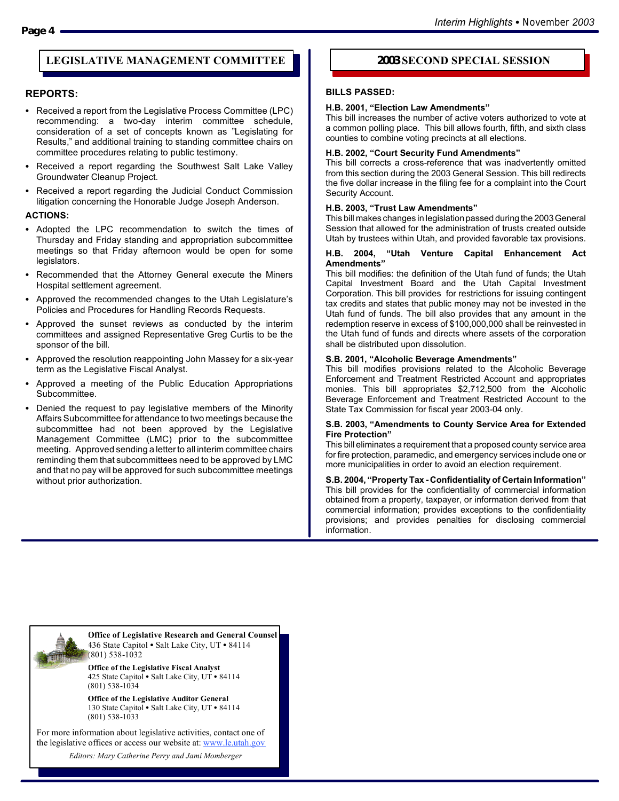#### **LEGISLATIVE MANAGEMENT COMMITTEE 2003 SECOND SPECIAL SESSION**

#### **REPORTS:**

- Received a report from the Legislative Process Committee (LPC) recommending: a two-day interim committee schedule, consideration of a set of concepts known as "Legislating for Results," and additional training to standing committee chairs on committee procedures relating to public testimony.
- Received a report regarding the Southwest Salt Lake Valley Groundwater Cleanup Project.
- Received a report regarding the Judicial Conduct Commission litigation concerning the Honorable Judge Joseph Anderson.

#### **ACTIONS:**

- Adopted the LPC recommendation to switch the times of Thursday and Friday standing and appropriation subcommittee meetings so that Friday afternoon would be open for some legislators.
- Recommended that the Attorney General execute the Miners Hospital settlement agreement.
- Approved the recommended changes to the Utah Legislature's Policies and Procedures for Handling Records Requests.
- Approved the sunset reviews as conducted by the interim committees and assigned Representative Greg Curtis to be the sponsor of the bill.
- Approved the resolution reappointing John Massey for a six-year term as the Legislative Fiscal Analyst.
- Approved a meeting of the Public Education Appropriations Subcommittee.
- Denied the request to pay legislative members of the Minority Affairs Subcommittee for attendance to two meetings because the subcommittee had not been approved by the Legislative Management Committee (LMC) prior to the subcommittee meeting. Approved sending a letter to all interim committee chairs reminding them that subcommittees need to be approved by LMC and that no pay will be approved for such subcommittee meetings without prior authorization.

#### **BILLS PASSED:**

#### **H.B. 2001, "Election Law Amendments"**

This bill increases the number of active voters authorized to vote at a common polling place. This bill allows fourth, fifth, and sixth class counties to combine voting precincts at all elections.

#### **H.B. 2002, "Court Security Fund Amendments"**

This bill corrects a cross-reference that was inadvertently omitted from this section during the 2003 General Session. This bill redirects the five dollar increase in the filing fee for a complaint into the Court Security Account.

#### **H.B. 2003, "Trust Law Amendments"**

This bill makes changes in legislation passed during the 2003 General Session that allowed for the administration of trusts created outside Utah by trustees within Utah, and provided favorable tax provisions.

#### **H.B. 2004, "Utah Venture Capital Enhancement Act Amendments"**

This bill modifies: the definition of the Utah fund of funds; the Utah Capital Investment Board and the Utah Capital Investment Corporation. This bill provides for restrictions for issuing contingent tax credits and states that public money may not be invested in the Utah fund of funds. The bill also provides that any amount in the redemption reserve in excess of \$100,000,000 shall be reinvested in the Utah fund of funds and directs where assets of the corporation shall be distributed upon dissolution.

#### **S.B. 2001, "Alcoholic Beverage Amendments"**

This bill modifies provisions related to the Alcoholic Beverage Enforcement and Treatment Restricted Account and appropriates monies. This bill appropriates \$2,712,500 from the Alcoholic Beverage Enforcement and Treatment Restricted Account to the State Tax Commission for fiscal year 2003-04 only.

#### **S.B. 2003, "Amendments to County Service Area for Extended Fire Protection"**

This bill eliminates a requirement that a proposed county service area for fire protection, paramedic, and emergency services include one or more municipalities in order to avoid an election requirement.

**S.B. 2004, "Property Tax - Confidentiality of Certain Information"** This bill provides for the confidentiality of commercial information obtained from a property, taxpayer, or information derived from that commercial information; provides exceptions to the confidentiality provisions; and provides penalties for disclosing commercial information.



**Office of Legislative Research and General Counsel** 436 State Capitol . Salt Lake City, UT . 84114 (801) 538-1032

**Office of the Legislative Fiscal Analyst** 425 State Capitol • Salt Lake City, UT • 84114 (801) 538-1034

**Office of the Legislative Auditor General** 130 State Capitol • Salt Lake City, UT • 84114 (801) 538-1033

For more information about legislative activities, contact one of the legislative offices or access our website at: www.le.utah.gov

*Editors: Mary Catherine Perry and Jami Momberger*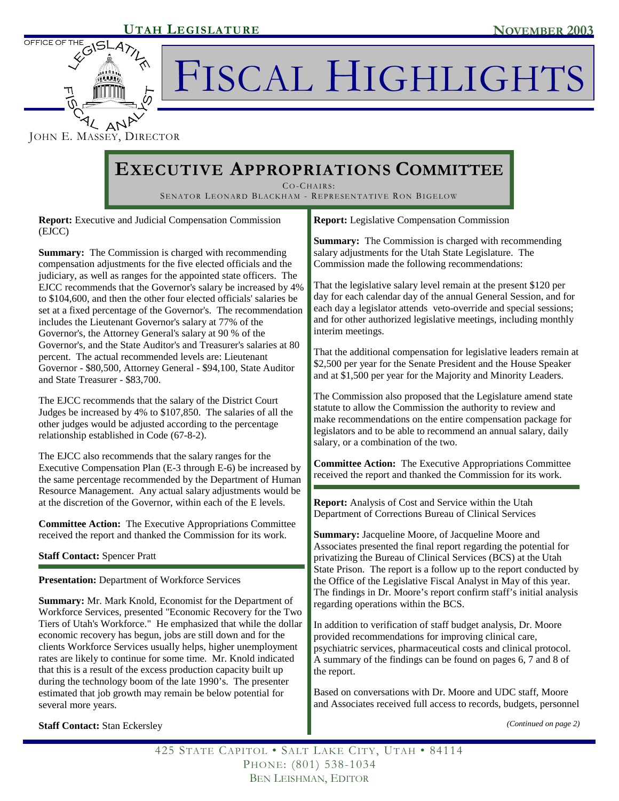OFFICE OF TH

FISCAL HIGHLIGHTS

Δħ JOHN E. MASSEY, DIRECTOR

# **EXECUTIVE APPROPRIATIONS COMMITTEE**

CO-CHAIRS: SENATOR LEONARD BLACKHAM - REPRESENTATIVE RON BIGELOW

**Report:** Executive and Judicial Compensation Commission (EJCC)

**Summary:** The Commission is charged with recommending compensation adjustments for the five elected officials and the judiciary, as well as ranges for the appointed state officers. The EJCC recommends that the Governor's salary be increased by 4% to \$104,600, and then the other four elected officials' salaries be set at a fixed percentage of the Governor's. The recommendation includes the Lieutenant Governor's salary at 77% of the Governor's, the Attorney General's salary at 90 % of the Governor's, and the State Auditor's and Treasurer's salaries at 80 percent. The actual recommended levels are: Lieutenant Governor - \$80,500, Attorney General - \$94,100, State Auditor and State Treasurer - \$83,700.

The EJCC recommends that the salary of the District Court Judges be increased by 4% to \$107,850. The salaries of all the other judges would be adjusted according to the percentage relationship established in Code (67-8-2).

The EJCC also recommends that the salary ranges for the Executive Compensation Plan (E-3 through E-6) be increased by the same percentage recommended by the Department of Human Resource Management. Any actual salary adjustments would be at the discretion of the Governor, within each of the E levels.

**Committee Action:** The Executive Appropriations Committee received the report and thanked the Commission for its work.

**Staff Contact:** Spencer Pratt

**Presentation:** Department of Workforce Services

**Summary:** Mr. Mark Knold, Economist for the Department of Workforce Services, presented "Economic Recovery for the Two Tiers of Utah's Workforce." He emphasized that while the dollar economic recovery has begun, jobs are still down and for the clients Workforce Services usually helps, higher unemployment rates are likely to continue for some time. Mr. Knold indicated that this is a result of the excess production capacity built up during the technology boom of the late 1990's. The presenter estimated that job growth may remain be below potential for several more years.

**Report:** Legislative Compensation Commission

**Summary:** The Commission is charged with recommending salary adjustments for the Utah State Legislature. The Commission made the following recommendations:

That the legislative salary level remain at the present \$120 per day for each calendar day of the annual General Session, and for each day a legislator attends veto-override and special sessions; and for other authorized legislative meetings, including monthly interim meetings.

That the additional compensation for legislative leaders remain at \$2,500 per year for the Senate President and the House Speaker and at \$1,500 per year for the Majority and Minority Leaders.

The Commission also proposed that the Legislature amend state statute to allow the Commission the authority to review and make recommendations on the entire compensation package for legislators and to be able to recommend an annual salary, daily salary, or a combination of the two.

**Committee Action:** The Executive Appropriations Committee received the report and thanked the Commission for its work.

**Report:** Analysis of Cost and Service within the Utah Department of Corrections Bureau of Clinical Services

**Summary:** Jacqueline Moore, of Jacqueline Moore and Associates presented the final report regarding the potential for privatizing the Bureau of Clinical Services (BCS) at the Utah State Prison. The report is a follow up to the report conducted by the Office of the Legislative Fiscal Analyst in May of this year. The findings in Dr. Moore's report confirm staff's initial analysis regarding operations within the BCS.

In addition to verification of staff budget analysis, Dr. Moore provided recommendations for improving clinical care, psychiatric services, pharmaceutical costs and clinical protocol. A summary of the findings can be found on pages 6, 7 and 8 of the report.

Based on conversations with Dr. Moore and UDC staff, Moore and Associates received full access to records, budgets, personnel

*(Continued on page 2)* 

425 STATE CAPITOL • SALT LAKE CITY, UTAH • 84114 PHONE: (801) 538-1034 BEN LEISHMAN, EDITOR

**Staff Contact: Stan Eckersley**